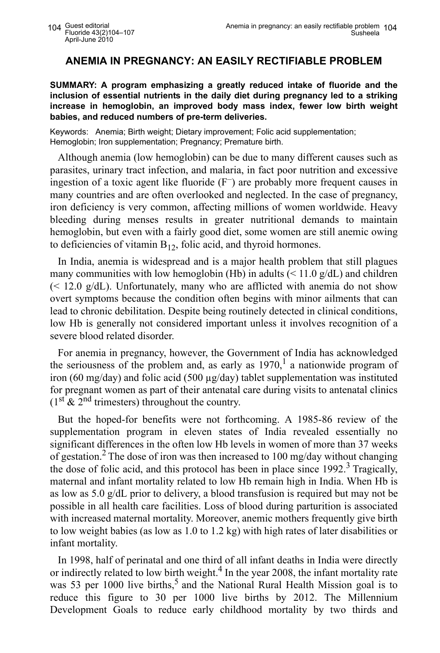## **ANEMIA IN PREGNANCY: AN EASILY RECTIFIABLE PROBLEM**

**SUMMARY: A program emphasizing a greatly reduced intake of fluoride and the inclusion of essential nutrients in the daily diet during pregnancy led to a striking increase in hemoglobin, an improved body mass index, fewer low birth weight babies, and reduced numbers of pre-term deliveries.**

Keywords: Anemia; Birth weight; Dietary improvement; Folic acid supplementation; Hemoglobin; Iron supplementation; Pregnancy; Premature birth.

Although anemia (low hemoglobin) can be due to many different causes such as parasites, urinary tract infection, and malaria, in fact poor nutrition and excessive ingestion of a toxic agent like fluoride (F– ) are probably more frequent causes in many countries and are often overlooked and neglected. In the case of pregnancy, iron deficiency is very common, affecting millions of women worldwide. Heavy bleeding during menses results in greater nutritional demands to maintain hemoglobin, but even with a fairly good diet, some women are still anemic owing to deficiencies of vitamin  $B_{12}$ , folic acid, and thyroid hormones.

In India, anemia is widespread and is a major health problem that still plagues many communities with low hemoglobin (Hb) in adults  $\ll 11.0 \text{ g/dL}$ ) and children  $\ll$  12.0 g/dL). Unfortunately, many who are afflicted with anemia do not show overt symptoms because the condition often begins with minor ailments that can lead to chronic debilitation. Despite being routinely detected in clinical conditions, low Hb is generally not considered important unless it involves recognition of a severe blood related disorder.

For anemia in pregnancy, however, the Government of India has acknowledged the seriousness of the problem and, as early as  $1970<sup>1</sup>$  a nationwide program of iron (60 mg/day) and folic acid (500  $\mu$ g/day) tablet supplementation was instituted for pregnant women as part of their antenatal care during visits to antenatal clinics  $(1<sup>st</sup> \& 2<sup>nd</sup> \text{trimeters})$  throughout the country.

But the hoped-for benefits were not forthcoming. A 1985-86 review of the supplementation program in eleven states of India revealed essentially no significant differences in the often low Hb levels in women of more than 37 weeks of gestation.<sup>2</sup> The dose of iron was then increased to 100 mg/day without changing the dose of folic acid, and this protocol has been in place since 1992.<sup>3</sup> Tragically, maternal and infant mortality related to low Hb remain high in India. When Hb is as low as 5.0 g/dL prior to delivery, a blood transfusion is required but may not be possible in all health care facilities. Loss of blood during parturition is associated with increased maternal mortality. Moreover, anemic mothers frequently give birth to low weight babies (as low as 1.0 to 1.2 kg) with high rates of later disabilities or infant mortality.

In 1998, half of perinatal and one third of all infant deaths in India were directly or indirectly related to low birth weight.<sup>4</sup> In the year 2008, the infant mortality rate was 53 per 1000 live births,<sup>5</sup> and the National Rural Health Mission goal is to reduce this figure to 30 per 1000 live births by 2012. The Millennium Development Goals to reduce early childhood mortality by two thirds and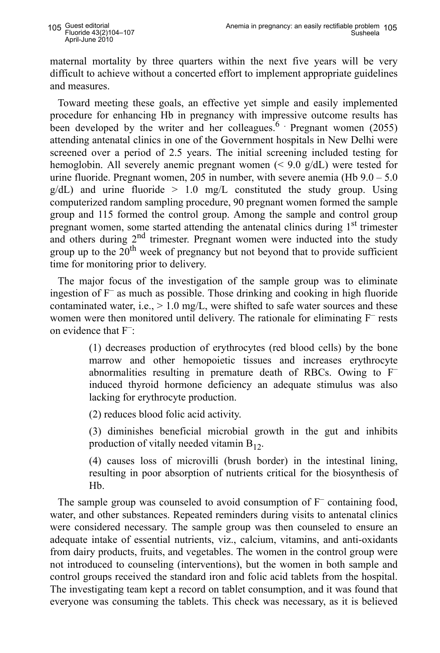maternal mortality by three quarters within the next five years will be very difficult to achieve without a concerted effort to implement appropriate guidelines and measures.

Toward meeting these goals, an effective yet simple and easily implemented procedure for enhancing Hb in pregnancy with impressive outcome results has been developed by the writer and her colleagues.<sup>6</sup> Pregnant women (2055) attending antenatal clinics in one of the Government hospitals in New Delhi were screened over a period of 2.5 years. The initial screening included testing for hemoglobin. All severely anemic pregnant women (< 9.0 g/dL) were tested for urine fluoride. Pregnant women, 205 in number, with severe anemia (Hb 9.0 – 5.0  $g/dL$ ) and urine fluoride  $> 1.0$  mg/L constituted the study group. Using computerized random sampling procedure, 90 pregnant women formed the sample group and 115 formed the control group. Among the sample and control group pregnant women, some started attending the antenatal clinics during  $1<sup>st</sup>$  trimester and others during 2<sup>nd</sup> trimester. Pregnant women were inducted into the study group up to the  $20^{th}$  week of pregnancy but not beyond that to provide sufficient time for monitoring prior to delivery.

The major focus of the investigation of the sample group was to eliminate ingestion of  $F^-$  as much as possible. Those drinking and cooking in high fluoride contaminated water, i.e.,  $> 1.0$  mg/L, were shifted to safe water sources and these women were then monitored until delivery. The rationale for eliminating F<sup>–</sup> rests on evidence that F–:

> (1) decreases production of erythrocytes (red blood cells) by the bone marrow and other hemopoietic tissues and increases erythrocyte abnormalities resulting in premature death of RBCs. Owing to F– induced thyroid hormone deficiency an adequate stimulus was also lacking for erythrocyte production.

(2) reduces blood folic acid activity.

(3) diminishes beneficial microbial growth in the gut and inhibits production of vitally needed vitamin  $B_{12}$ .

(4) causes loss of microvilli (brush border) in the intestinal lining, resulting in poor absorption of nutrients critical for the biosynthesis of Hb.

The sample group was counseled to avoid consumption of  $F^-$  containing food, water, and other substances. Repeated reminders during visits to antenatal clinics were considered necessary. The sample group was then counseled to ensure an adequate intake of essential nutrients, viz., calcium, vitamins, and anti-oxidants from dairy products, fruits, and vegetables. The women in the control group were not introduced to counseling (interventions), but the women in both sample and control groups received the standard iron and folic acid tablets from the hospital. The investigating team kept a record on tablet consumption, and it was found that everyone was consuming the tablets. This check was necessary, as it is believed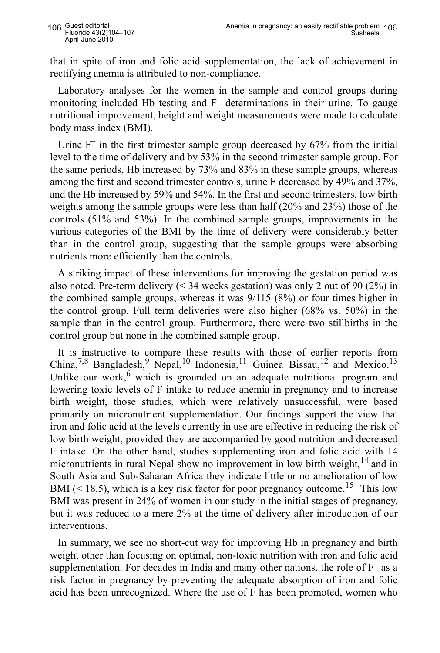that in spite of iron and folic acid supplementation, the lack of achievement in rectifying anemia is attributed to non-compliance.

Laboratory analyses for the women in the sample and control groups during monitoring included Hb testing and F– determinations in their urine. To gauge nutritional improvement, height and weight measurements were made to calculate body mass index (BMI).

Urine  $F^-$  in the first trimester sample group decreased by 67% from the initial level to the time of delivery and by 53% in the second trimester sample group. For the same periods, Hb increased by 73% and 83% in these sample groups, whereas among the first and second trimester controls, urine F decreased by 49% and 37%, and the Hb increased by 59% and 54%. In the first and second trimesters, low birth weights among the sample groups were less than half (20% and 23%) those of the controls (51% and 53%). In the combined sample groups, improvements in the various categories of the BMI by the time of delivery were considerably better than in the control group, suggesting that the sample groups were absorbing nutrients more efficiently than the controls.

A striking impact of these interventions for improving the gestation period was also noted. Pre-term delivery  $\left($  < 34 weeks gestation) was only 2 out of 90 (2%) in the combined sample groups, whereas it was 9/115 (8%) or four times higher in the control group. Full term deliveries were also higher (68% vs. 50%) in the sample than in the control group. Furthermore, there were two stillbirths in the control group but none in the combined sample group.

It is instructive to compare these results with those of earlier reports from China,<sup>7,8</sup> Bangladesh,<sup>9</sup> Nepal,<sup>10</sup> Indonesia,<sup>11</sup> Guinea Bissau,<sup>12</sup> and Mexico.<sup>13</sup> Unlike our work, $6$  which is grounded on an adequate nutritional program and lowering toxic levels of F intake to reduce anemia in pregnancy and to increase birth weight, those studies, which were relatively unsuccessful, were based primarily on micronutrient supplementation. Our findings support the view that iron and folic acid at the levels currently in use are effective in reducing the risk of low birth weight, provided they are accompanied by good nutrition and decreased F intake. On the other hand, studies supplementing iron and folic acid with 14 micronutrients in rural Nepal show no improvement in low birth weight,  $14$  and in South Asia and Sub-Saharan Africa they indicate little or no amelioration of low BMI ( $\leq$  18.5), which is a key risk factor for poor pregnancy outcome.<sup>15</sup> This low BMI was present in 24% of women in our study in the initial stages of pregnancy, but it was reduced to a mere 2% at the time of delivery after introduction of our interventions.

In summary, we see no short-cut way for improving Hb in pregnancy and birth weight other than focusing on optimal, non-toxic nutrition with iron and folic acid supplementation. For decades in India and many other nations, the role of  $F^-$  as a risk factor in pregnancy by preventing the adequate absorption of iron and folic acid has been unrecognized. Where the use of F has been promoted, women who